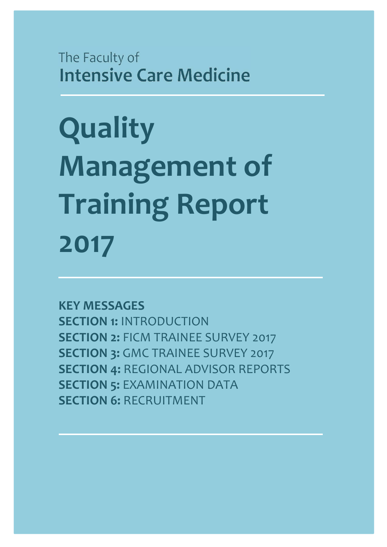The Faculty of **Intensive Care Medicine** 

**Quality Management of Training Report 2017**

**KEY MESSAGES SECTION 1:** INTRODUCTION **SECTION 2:** FICM TRAINEE SURVEY 2017 **SECTION 3: GMC TRAINEE SURVEY 2017 SECTION 4:** REGIONAL ADVISOR REPORTS **SECTION 5: EXAMINATION DATA SECTION 6: RECRUITMENT**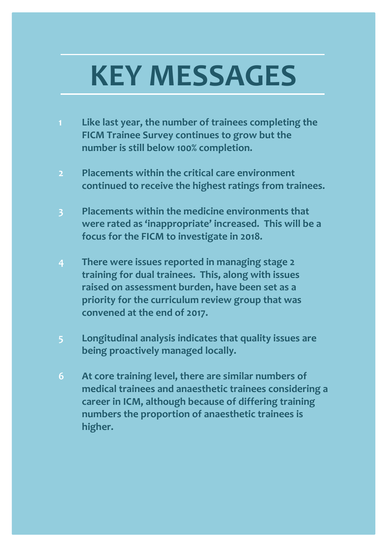# **KEY MESSAGES**

- **1 Like last year, the number of trainees completing the FICM Trainee Survey continues to grow but the number is still below 100% completion.**
- **2 Placements within the critical care environment continued to receive the highest ratings from trainees.**
- **3 Placements within the medicine environments that were rated as 'inappropriate' increased. This will be a focus for the FICM to investigate in 2018.**
- **4 There were issues reported in managing stage 2 training for dual trainees. This, along with issues raised on assessment burden, have been set as a priority for the curriculum review group that was convened at the end of 2017.**
- **5 Longitudinal analysis indicates that quality issues are being proactively managed locally.**
- **6 At core training level, there are similar numbers of medical trainees and anaesthetic trainees considering a career in ICM, although because of differing training numbers the proportion of anaesthetic trainees is higher.**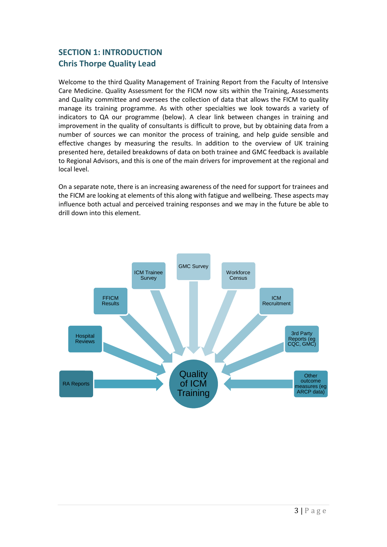# **SECTION 1: INTRODUCTION Chris Thorpe Quality Lead**

Welcome to the third Quality Management of Training Report from the Faculty of Intensive Care Medicine. Quality Assessment for the FICM now sits within the Training, Assessments and Quality committee and oversees the collection of data that allows the FICM to quality manage its training programme. As with other specialties we look towards a variety of indicators to QA our programme (below). A clear link between changes in training and improvement in the quality of consultants is difficult to prove, but by obtaining data from a number of sources we can monitor the process of training, and help guide sensible and effective changes by measuring the results. In addition to the overview of UK training presented here, detailed breakdowns of data on both trainee and GMC feedback is available to Regional Advisors, and this is one of the main drivers for improvement at the regional and local level.

On a separate note, there is an increasing awareness of the need for support for trainees and the FICM are looking at elements of this along with fatigue and wellbeing. These aspects may influence both actual and perceived training responses and we may in the future be able to drill down into this element.

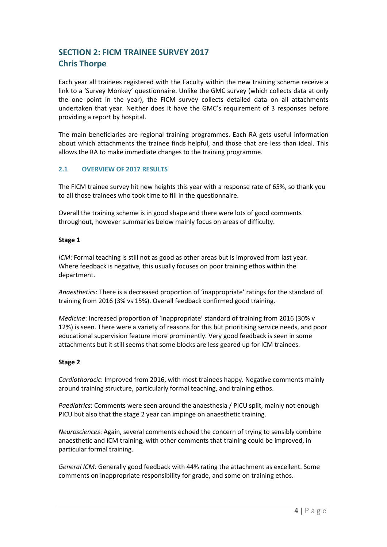# **SECTION 2: FICM TRAINEE SURVEY 2017 Chris Thorpe**

Each year all trainees registered with the Faculty within the new training scheme receive a link to a 'Survey Monkey' questionnaire. Unlike the GMC survey (which collects data at only the one point in the year), the FICM survey collects detailed data on all attachments undertaken that year. Neither does it have the GMC's requirement of 3 responses before providing a report by hospital.

The main beneficiaries are regional training programmes. Each RA gets useful information about which attachments the trainee finds helpful, and those that are less than ideal. This allows the RA to make immediate changes to the training programme.

#### **2.1 OVERVIEW OF 2017 RESULTS**

The FICM trainee survey hit new heights this year with a response rate of 65%, so thank you to all those trainees who took time to fill in the questionnaire.

Overall the training scheme is in good shape and there were lots of good comments throughout, however summaries below mainly focus on areas of difficulty.

#### **Stage 1**

*ICM*: Formal teaching is still not as good as other areas but is improved from last year. Where feedback is negative, this usually focuses on poor training ethos within the department.

*Anaesthetics*: There is a decreased proportion of 'inappropriate' ratings for the standard of training from 2016 (3% vs 15%). Overall feedback confirmed good training.

*Medicine*: Increased proportion of 'inappropriate' standard of training from 2016 (30% v 12%) is seen. There were a variety of reasons for this but prioritising service needs, and poor educational supervision feature more prominently. Very good feedback is seen in some attachments but it still seems that some blocks are less geared up for ICM trainees.

#### **Stage 2**

*Cardiothoracic*: Improved from 2016, with most trainees happy. Negative comments mainly around training structure, particularly formal teaching, and training ethos.

*Paediatrics*: Comments were seen around the anaesthesia / PICU split, mainly not enough PICU but also that the stage 2 year can impinge on anaesthetic training.

*Neurosciences*: Again, several comments echoed the concern of trying to sensibly combine anaesthetic and ICM training, with other comments that training could be improved, in particular formal training.

*General ICM:* Generally good feedback with 44% rating the attachment as excellent. Some comments on inappropriate responsibility for grade, and some on training ethos.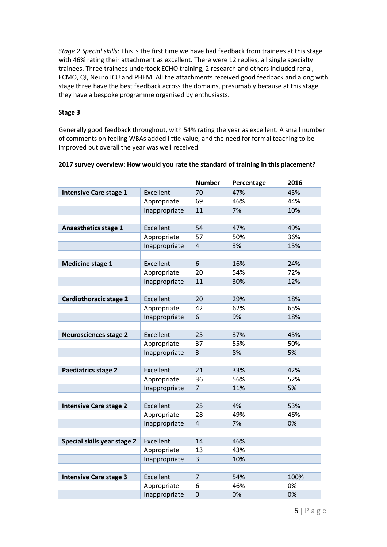*Stage 2 Special skills*: This is the first time we have had feedback from trainees at this stage with 46% rating their attachment as excellent. There were 12 replies, all single specialty trainees. Three trainees undertook ECHO training, 2 research and others included renal, ECMO, QI, Neuro ICU and PHEM. All the attachments received good feedback and along with stage three have the best feedback across the domains, presumably because at this stage they have a bespoke programme organised by enthusiasts.

#### **Stage 3**

Generally good feedback throughout, with 54% rating the year as excellent. A small number of comments on feeling WBAs added little value, and the need for formal teaching to be improved but overall the year was well received.

|                               |               | <b>Number</b>  | Percentage | 2016 |
|-------------------------------|---------------|----------------|------------|------|
| <b>Intensive Care stage 1</b> | Excellent     | 70             | 47%        | 45%  |
|                               | Appropriate   | 69<br>46%      |            | 44%  |
|                               | Inappropriate | 11             | 7%         | 10%  |
|                               |               |                |            |      |
| <b>Anaesthetics stage 1</b>   | Excellent     | 54             | 47%        | 49%  |
|                               | Appropriate   | 57             | 50%        | 36%  |
|                               | Inappropriate | 4              | 3%         | 15%  |
|                               |               |                |            |      |
| <b>Medicine stage 1</b>       | Excellent     | 6<br>16%       |            | 24%  |
|                               | Appropriate   | 54%<br>20      |            | 72%  |
|                               | Inappropriate | 11<br>30%      |            | 12%  |
|                               |               |                |            |      |
| <b>Cardiothoracic stage 2</b> | Excellent     | 20<br>29%      |            | 18%  |
|                               | Appropriate   | 42             | 62%        | 65%  |
|                               | Inappropriate | 6              | 9%         | 18%  |
|                               |               |                |            |      |
| <b>Neurosciences stage 2</b>  | Excellent     | 25             | 37%        | 45%  |
|                               | Appropriate   | 37             | 55%        | 50%  |
|                               | Inappropriate | 3              | 8%         | 5%   |
|                               |               |                |            |      |
| Paediatrics stage 2           | Excellent     | 21<br>33%      |            | 42%  |
|                               | Appropriate   | 36             | 56%        | 52%  |
|                               | Inappropriate | $\overline{7}$ | 11%        | 5%   |
|                               |               |                |            |      |
| <b>Intensive Care stage 2</b> | Excellent     | 25             | 4%         | 53%  |
|                               | Appropriate   | 28             | 49%        | 46%  |
|                               | Inappropriate | 4              | 7%         | 0%   |
|                               |               |                |            |      |
| Special skills year stage 2   | Excellent     | 14             | 46%        |      |
|                               | Appropriate   | 13             | 43%        |      |
|                               | Inappropriate | 3              | 10%        |      |
|                               |               |                |            |      |
| <b>Intensive Care stage 3</b> | Excellent     | $\overline{7}$ | 54%        | 100% |
|                               | Appropriate   | 6              | 46%        | 0%   |
|                               | Inappropriate | $\mathbf 0$    | 0%         | 0%   |

#### **2017 survey overview: How would you rate the standard of training in this placement?**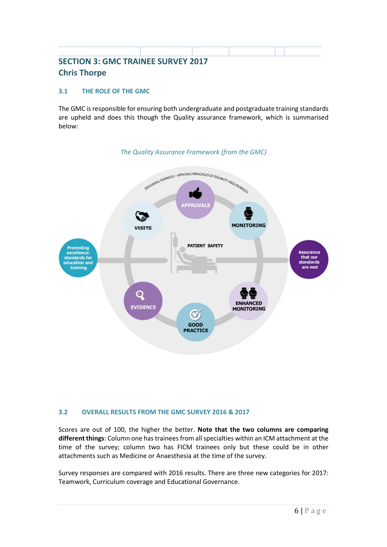# **SECTION 3: GMC TRAINEE SURVEY 2017 Chris Thorpe**

#### **3.1 THE ROLE OF THE GMC**

The GMC is responsible for ensuring both undergraduate and postgraduate training standards are upheld and does this though the Quality assurance framework, which is summarised below:



#### *The Quality Assurance Framework (from the GMC)*

#### **3.2 OVERALL RESULTS FROM THE GMC SURVEY 2016 & 2017**

Scores are out of 100, the higher the better. **Note that the two columns are comparing different things**: Column one has trainees from all specialties within an ICM attachment at the time of the survey; column two has FICM trainees only but these could be in other attachments such as Medicine or Anaesthesia at the time of the survey.

Survey responses are compared with 2016 results. There are three new categories for 2017: Teamwork, Curriculum coverage and Educational Governance.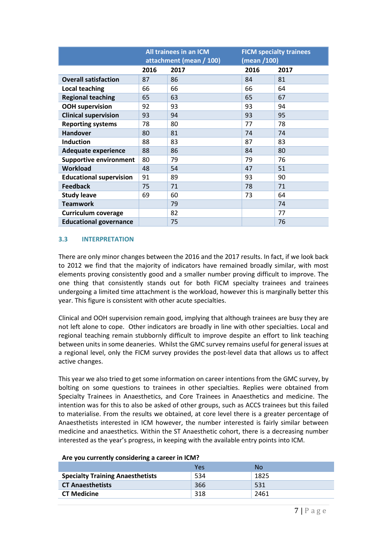|                                | All trainees in an ICM<br>attachment (mean / 100) |      | <b>FICM specialty trainees</b><br>(mean /100) |      |
|--------------------------------|---------------------------------------------------|------|-----------------------------------------------|------|
|                                | 2016                                              | 2017 | 2016                                          | 2017 |
| <b>Overall satisfaction</b>    | 87                                                | 86   | 84                                            | 81   |
| <b>Local teaching</b>          | 66                                                | 66   | 66                                            | 64   |
| <b>Regional teaching</b>       | 65                                                | 63   | 65                                            | 67   |
| <b>OOH supervision</b>         | 92                                                | 93   | 93                                            | 94   |
| <b>Clinical supervision</b>    | 93                                                | 94   | 93                                            | 95   |
| <b>Reporting systems</b>       | 78                                                | 80   | 77                                            | 78   |
| <b>Handover</b>                | 80                                                | 81   | 74                                            | 74   |
| <b>Induction</b>               | 88                                                | 83   | 87                                            | 83   |
| <b>Adequate experience</b>     | 88                                                | 86   | 84                                            | 80   |
| <b>Supportive environment</b>  | 80                                                | 79   | 79                                            | 76   |
| <b>Workload</b>                | 48                                                | 54   | 47                                            | 51   |
| <b>Educational supervision</b> | 91                                                | 89   | 93                                            | 90   |
| <b>Feedback</b>                | 75                                                | 71   | 78                                            | 71   |
| <b>Study leave</b>             | 69                                                | 60   | 73                                            | 64   |
| <b>Teamwork</b>                |                                                   | 79   |                                               | 74   |
| Curriculum coverage            |                                                   | 82   |                                               | 77   |
| <b>Educational governance</b>  |                                                   | 75   |                                               | 76   |

#### **3.3 INTERPRETATION**

There are only minor changes between the 2016 and the 2017 results. In fact, if we look back to 2012 we find that the majority of indicators have remained broadly similar, with most elements proving consistently good and a smaller number proving difficult to improve. The one thing that consistently stands out for both FICM specialty trainees and trainees undergoing a limited time attachment is the workload, however this is marginally better this year. This figure is consistent with other acute specialties.

Clinical and OOH supervision remain good, implying that although trainees are busy they are not left alone to cope. Other indicators are broadly in line with other specialties. Local and regional teaching remain stubbornly difficult to improve despite an effort to link teaching between units in some deaneries. Whilst the GMC survey remains useful for general issues at a regional level, only the FICM survey provides the post-level data that allows us to affect active changes.

This year we also tried to get some information on career intentions from the GMC survey, by bolting on some questions to trainees in other specialties. Replies were obtained from Specialty Trainees in Anaesthetics, and Core Trainees in Anaesthetics and medicine. The intention was for this to also be asked of other groups, such as ACCS trainees but this failed to materialise. From the results we obtained, at core level there is a greater percentage of Anaesthetists interested in ICM however, the number interested is fairly similar between medicine and anaesthetics. Within the ST Anaesthetic cohort, there is a decreasing number interested as the year's progress, in keeping with the available entry points into ICM.

|                                         | Yes | Nο   |
|-----------------------------------------|-----|------|
| <b>Specialty Training Anaesthetists</b> | 534 | 1825 |
| <b>CT Anaesthetists</b>                 | 366 | 531  |
| <b>CT Medicine</b>                      | 318 | 2461 |

#### **Are you currently considering a career in ICM?**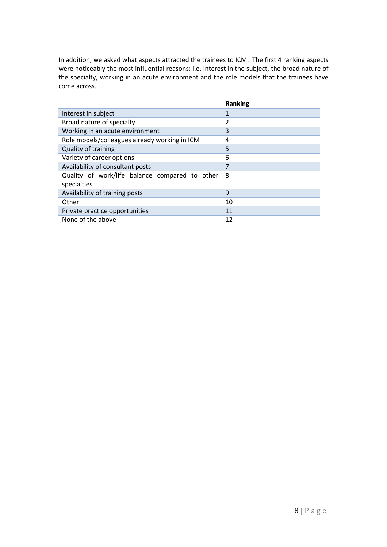In addition, we asked what aspects attracted the trainees to ICM. The first 4 ranking aspects were noticeably the most influential reasons: i.e. Interest in the subject, the broad nature of the specialty, working in an acute environment and the role models that the trainees have come across.

|                                                               | <b>Ranking</b> |
|---------------------------------------------------------------|----------------|
| Interest in subject                                           | 1              |
| Broad nature of specialty                                     | 2              |
| Working in an acute environment                               | 3              |
| Role models/colleagues already working in ICM                 | 4              |
| Quality of training                                           | 5              |
| Variety of career options                                     | 6              |
| Availability of consultant posts                              | 7              |
| Quality of work/life balance compared to other<br>specialties | 8              |
| Availability of training posts                                | 9              |
| Other                                                         | 10             |
| Private practice opportunities                                | 11             |
| None of the above                                             | 12             |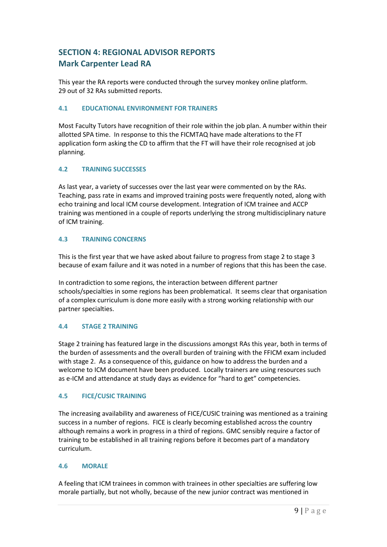# **SECTION 4: REGIONAL ADVISOR REPORTS Mark Carpenter Lead RA**

This year the RA reports were conducted through the survey monkey online platform. 29 out of 32 RAs submitted reports.

#### **4.1 EDUCATIONAL ENVIRONMENT FOR TRAINERS**

Most Faculty Tutors have recognition of their role within the job plan. A number within their allotted SPA time. In response to this the FICMTAQ have made alterations to the FT application form asking the CD to affirm that the FT will have their role recognised at job planning.

#### **4.2 TRAINING SUCCESSES**

As last year, a variety of successes over the last year were commented on by the RAs. Teaching, pass rate in exams and improved training posts were frequently noted, along with echo training and local ICM course development. Integration of ICM trainee and ACCP training was mentioned in a couple of reports underlying the strong multidisciplinary nature of ICM training.

#### **4.3 TRAINING CONCERNS**

This is the first year that we have asked about failure to progress from stage 2 to stage 3 because of exam failure and it was noted in a number of regions that this has been the case.

In contradiction to some regions, the interaction between different partner schools/specialties in some regions has been problematical. It seems clear that organisation of a complex curriculum is done more easily with a strong working relationship with our partner specialties.

#### **4.4 STAGE 2 TRAINING**

Stage 2 training has featured large in the discussions amongst RAs this year, both in terms of the burden of assessments and the overall burden of training with the FFICM exam included with stage 2. As a consequence of this, guidance on how to address the burden and a welcome to ICM document have been produced. Locally trainers are using resources such as e-ICM and attendance at study days as evidence for "hard to get" competencies.

#### **4.5 FICE/CUSIC TRAINING**

The increasing availability and awareness of FICE/CUSIC training was mentioned as a training success in a number of regions. FICE is clearly becoming established across the country although remains a work in progress in a third of regions. GMC sensibly require a factor of training to be established in all training regions before it becomes part of a mandatory curriculum.

#### **4.6 MORALE**

A feeling that ICM trainees in common with trainees in other specialties are suffering low morale partially, but not wholly, because of the new junior contract was mentioned in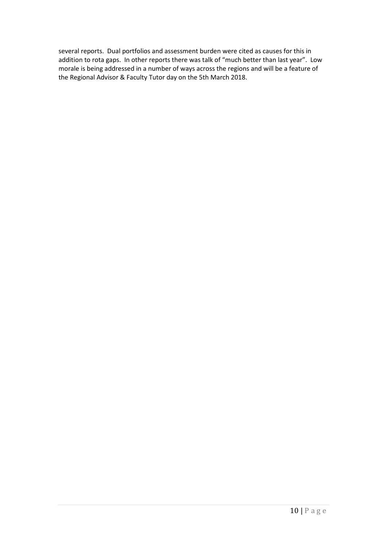several reports. Dual portfolios and assessment burden were cited as causes for this in addition to rota gaps. In other reports there was talk of "much better than last year". Low morale is being addressed in a number of ways across the regions and will be a feature of the Regional Advisor & Faculty Tutor day on the 5th March 2018.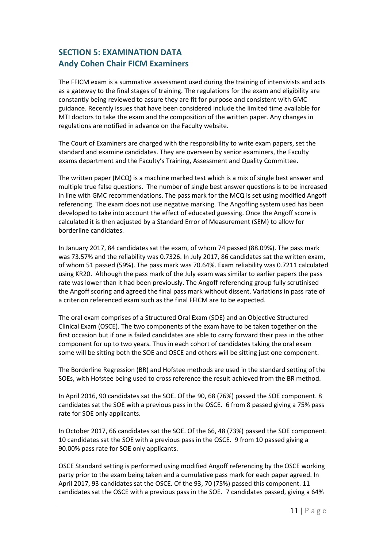## **SECTION 5: EXAMINATION DATA Andy Cohen Chair FICM Examiners**

The FFICM exam is a summative assessment used during the training of intensivists and acts as a gateway to the final stages of training. The regulations for the exam and eligibility are constantly being reviewed to assure they are fit for purpose and consistent with GMC guidance. Recently issues that have been considered include the limited time available for MTI doctors to take the exam and the composition of the written paper. Any changes in regulations are notified in advance on the Faculty website.

The Court of Examiners are charged with the responsibility to write exam papers, set the standard and examine candidates. They are overseen by senior examiners, the Faculty exams department and the Faculty's Training, Assessment and Quality Committee.

The written paper (MCQ) is a machine marked test which is a mix of single best answer and multiple true false questions. The number of single best answer questions is to be increased in line with GMC recommendations. The pass mark for the MCQ is set using modified Angoff referencing. The exam does not use negative marking. The Angoffing system used has been developed to take into account the effect of educated guessing. Once the Angoff score is calculated it is then adjusted by a Standard Error of Measurement (SEM) to allow for borderline candidates.

In January 2017, 84 candidates sat the exam, of whom 74 passed (88.09%). The pass mark was 73.57% and the reliability was 0.7326. In July 2017, 86 candidates sat the written exam, of whom 51 passed (59%). The pass mark was 70.64%. Exam reliability was 0.7211 calculated using KR20. Although the pass mark of the July exam was similar to earlier papers the pass rate was lower than it had been previously. The Angoff referencing group fully scrutinised the Angoff scoring and agreed the final pass mark without dissent. Variations in pass rate of a criterion referenced exam such as the final FFICM are to be expected.

The oral exam comprises of a Structured Oral Exam (SOE) and an Objective Structured Clinical Exam (OSCE). The two components of the exam have to be taken together on the first occasion but if one is failed candidates are able to carry forward their pass in the other component for up to two years. Thus in each cohort of candidates taking the oral exam some will be sitting both the SOE and OSCE and others will be sitting just one component.

The Borderline Regression (BR) and Hofstee methods are used in the standard setting of the SOEs, with Hofstee being used to cross reference the result achieved from the BR method.

In April 2016, 90 candidates sat the SOE. Of the 90, 68 (76%) passed the SOE component. 8 candidates sat the SOE with a previous pass in the OSCE. 6 from 8 passed giving a 75% pass rate for SOE only applicants.

In October 2017, 66 candidates sat the SOE. Of the 66, 48 (73%) passed the SOE component. 10 candidates sat the SOE with a previous pass in the OSCE. 9 from 10 passed giving a 90.00% pass rate for SOE only applicants.

OSCE Standard setting is performed using modified Angoff referencing by the OSCE working party prior to the exam being taken and a cumulative pass mark for each paper agreed. In April 2017, 93 candidates sat the OSCE. Of the 93, 70 (75%) passed this component. 11 candidates sat the OSCE with a previous pass in the SOE. 7 candidates passed, giving a 64%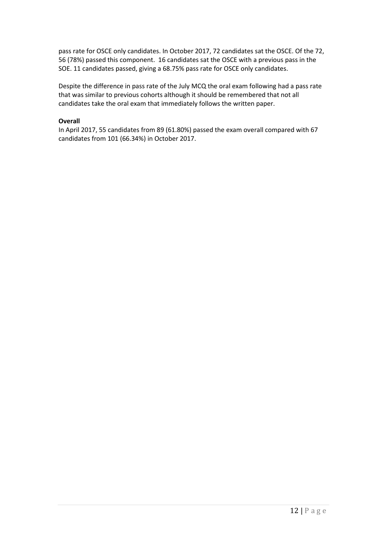pass rate for OSCE only candidates. In October 2017, 72 candidates sat the OSCE. Of the 72, 56 (78%) passed this component. 16 candidates sat the OSCE with a previous pass in the SOE. 11 candidates passed, giving a 68.75% pass rate for OSCE only candidates.

Despite the difference in pass rate of the July MCQ the oral exam following had a pass rate that was similar to previous cohorts although it should be remembered that not all candidates take the oral exam that immediately follows the written paper.

#### **Overall**

In April 2017, 55 candidates from 89 (61.80%) passed the exam overall compared with 67 candidates from 101 (66.34%) in October 2017.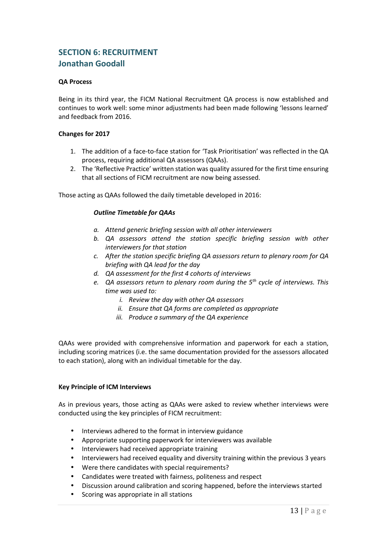### **SECTION 6: RECRUITMENT Jonathan Goodall**

#### **QA Process**

Being in its third year, the FICM National Recruitment QA process is now established and continues to work well: some minor adjustments had been made following 'lessons learned' and feedback from 2016.

#### **Changes for 2017**

- 1. The addition of a face-to-face station for 'Task Prioritisation' was reflected in the QA process, requiring additional QA assessors (QAAs).
- 2. The 'Reflective Practice' written station was quality assured for the first time ensuring that all sections of FICM recruitment are now being assessed.

Those acting as QAAs followed the daily timetable developed in 2016:

#### *Outline Timetable for QAAs*

- *a. Attend generic briefing session with all other interviewers*
- *b. QA assessors attend the station specific briefing session with other interviewers for that station*
- *c. After the station specific briefing QA assessors return to plenary room for QA briefing with QA lead for the day*
- *d. QA assessment for the first 4 cohorts of interviews*
- *e. QA assessors return to plenary room during the 5th cycle of interviews. This time was used to:* 
	- *i. Review the day with other QA assessors*
	- *ii. Ensure that QA forms are completed as appropriate*
	- *iii. Produce a summary of the QA experience*

QAAs were provided with comprehensive information and paperwork for each a station, including scoring matrices (i.e. the same documentation provided for the assessors allocated to each station), along with an individual timetable for the day.

#### **Key Principle of ICM Interviews**

As in previous years, those acting as QAAs were asked to review whether interviews were conducted using the key principles of FICM recruitment:

- Interviews adhered to the format in interview guidance
- Appropriate supporting paperwork for interviewers was available
- Interviewers had received appropriate training
- Interviewers had received equality and diversity training within the previous 3 years
- Were there candidates with special requirements?
- Candidates were treated with fairness, politeness and respect
- Discussion around calibration and scoring happened, before the interviews started
- Scoring was appropriate in all stations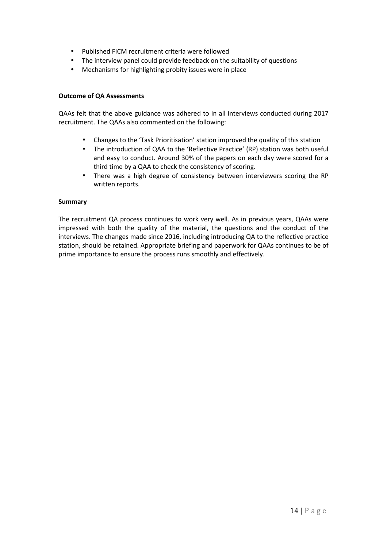- Published FICM recruitment criteria were followed
- The interview panel could provide feedback on the suitability of questions
- Mechanisms for highlighting probity issues were in place

#### **Outcome of QA Assessments**

QAAs felt that the above guidance was adhered to in all interviews conducted during 2017 recruitment. The QAAs also commented on the following:

- Changes to the 'Task Prioritisation' station improved the quality of this station
- The introduction of QAA to the 'Reflective Practice' (RP) station was both useful and easy to conduct. Around 30% of the papers on each day were scored for a third time by a QAA to check the consistency of scoring.
- There was a high degree of consistency between interviewers scoring the RP written reports.

#### **Summary**

The recruitment QA process continues to work very well. As in previous years, QAAs were impressed with both the quality of the material, the questions and the conduct of the interviews. The changes made since 2016, including introducing QA to the reflective practice station, should be retained. Appropriate briefing and paperwork for QAAs continues to be of prime importance to ensure the process runs smoothly and effectively.